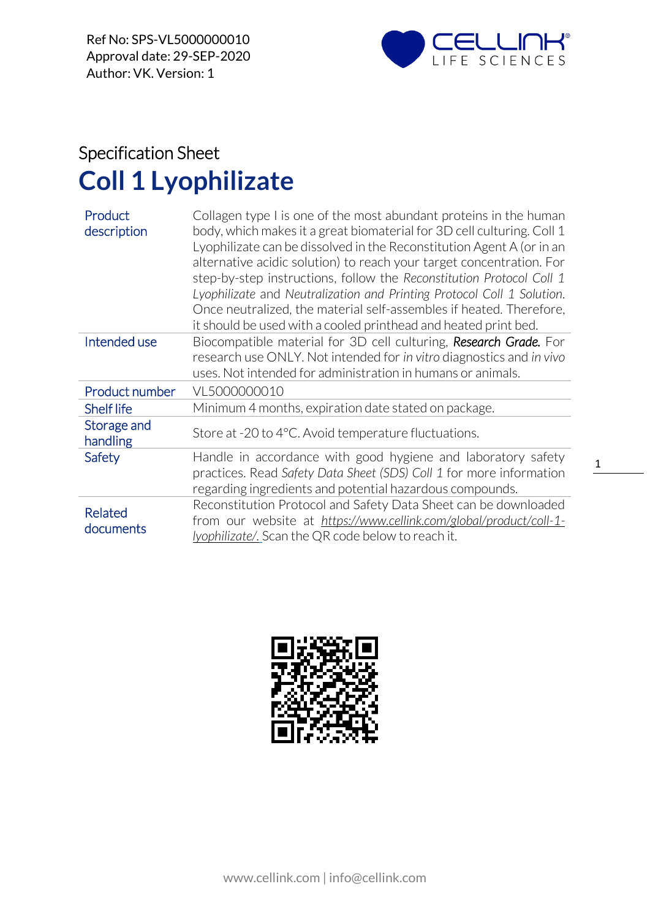

## Specification Sheet **Coll 1 Lyophilizate**

| Product<br>description      | Collagen type I is one of the most abundant proteins in the human<br>body, which makes it a great biomaterial for 3D cell culturing. Coll 1<br>Lyophilizate can be dissolved in the Reconstitution Agent A (or in an<br>alternative acidic solution) to reach your target concentration. For<br>step-by-step instructions, follow the Reconstitution Protocol Coll 1<br>Lyophilizate and Neutralization and Printing Protocol Coll 1 Solution.<br>Once neutralized, the material self-assembles if heated. Therefore,<br>it should be used with a cooled printhead and heated print bed. |  |
|-----------------------------|------------------------------------------------------------------------------------------------------------------------------------------------------------------------------------------------------------------------------------------------------------------------------------------------------------------------------------------------------------------------------------------------------------------------------------------------------------------------------------------------------------------------------------------------------------------------------------------|--|
| Intended use                | Biocompatible material for 3D cell culturing, Research Grade. For                                                                                                                                                                                                                                                                                                                                                                                                                                                                                                                        |  |
|                             | research use ONLY. Not intended for in vitro diagnostics and in vivo                                                                                                                                                                                                                                                                                                                                                                                                                                                                                                                     |  |
|                             | uses. Not intended for administration in humans or animals.                                                                                                                                                                                                                                                                                                                                                                                                                                                                                                                              |  |
| Product number              | VL5000000010                                                                                                                                                                                                                                                                                                                                                                                                                                                                                                                                                                             |  |
| <b>Shelf life</b>           | Minimum 4 months, expiration date stated on package.                                                                                                                                                                                                                                                                                                                                                                                                                                                                                                                                     |  |
| Storage and<br>handling     | Store at -20 to 4°C. Avoid temperature fluctuations.                                                                                                                                                                                                                                                                                                                                                                                                                                                                                                                                     |  |
| Safety                      | Handle in accordance with good hygiene and laboratory safety                                                                                                                                                                                                                                                                                                                                                                                                                                                                                                                             |  |
|                             | practices. Read Safety Data Sheet (SDS) Coll 1 for more information                                                                                                                                                                                                                                                                                                                                                                                                                                                                                                                      |  |
|                             | regarding ingredients and potential hazardous compounds.                                                                                                                                                                                                                                                                                                                                                                                                                                                                                                                                 |  |
| <b>Related</b><br>documents | Reconstitution Protocol and Safety Data Sheet can be downloaded                                                                                                                                                                                                                                                                                                                                                                                                                                                                                                                          |  |
|                             | from our website at https://www.cellink.com/global/product/coll-1-                                                                                                                                                                                                                                                                                                                                                                                                                                                                                                                       |  |
|                             | lyophilizate/. Scan the QR code below to reach it.                                                                                                                                                                                                                                                                                                                                                                                                                                                                                                                                       |  |